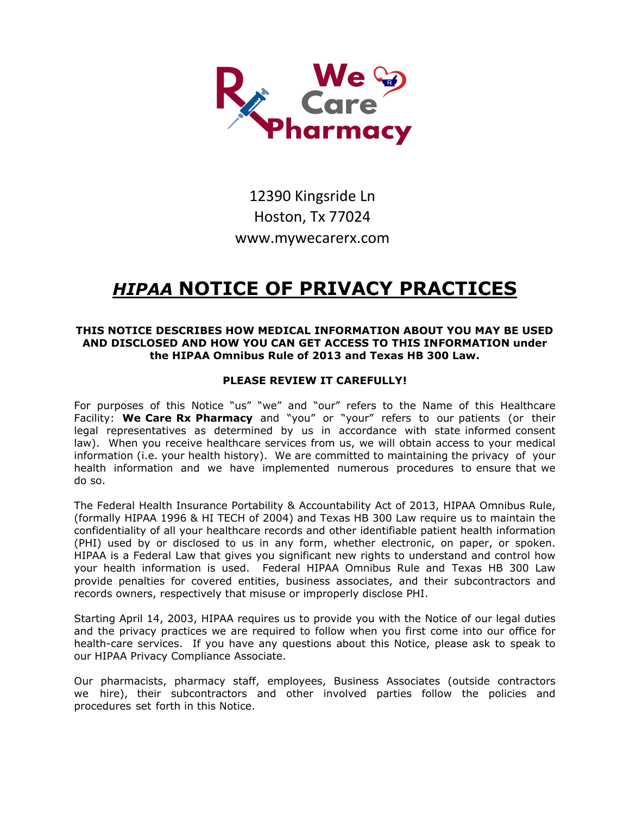

# 12390 Kingsride Ln Hoston, Tx 77024 www.mywecarerx.com

# *HIPAA* **NOTICE OF PRIVACY PRACTICES**

# **THIS NOTICE DESCRIBES HOW MEDICAL INFORMATION ABOUT YOU MAY BE USED AND DISCLOSED AND HOW YOU CAN GET ACCESS TO THIS INFORMATION under the HIPAA Omnibus Rule of 2013 and Texas HB 300 Law.**

# **PLEASE REVIEW IT CAREFULLY!**

For purposes of this Notice "us" "we" and "our" refers to the Name of this Healthcare Facility: **We Care Rx Pharmacy** and "you" or "your" refers to our patients (or their legal representatives as determined by us in accordance with state informed consent law). When you receive healthcare services from us, we will obtain access to your medical information (i.e. your health history). We are committed to maintaining the privacy of your health information and we have implemented numerous procedures to ensure that we do so.

The Federal Health Insurance Portability & Accountability Act of 2013, HIPAA Omnibus Rule, (formally HIPAA 1996 & HI TECH of 2004) and Texas HB 300 Law require us to maintain the confidentiality of all your healthcare records and other identifiable patient health information (PHI) used by or disclosed to us in any form, whether electronic, on paper, or spoken. HIPAA is a Federal Law that gives you significant new rights to understand and control how your health information is used. Federal HIPAA Omnibus Rule and Texas HB 300 Law provide penalties for covered entities, business associates, and their subcontractors and records owners, respectively that misuse or improperly disclose PHI.

Starting April 14, 2003, HIPAA requires us to provide you with the Notice of our legal duties and the privacy practices we are required to follow when you first come into our office for health-care services. If you have any questions about this Notice, please ask to speak to our HIPAA Privacy Compliance Associate.

Our pharmacists, pharmacy staff, employees, Business Associates (outside contractors we hire), their subcontractors and other involved parties follow the policies and procedures set forth in this Notice.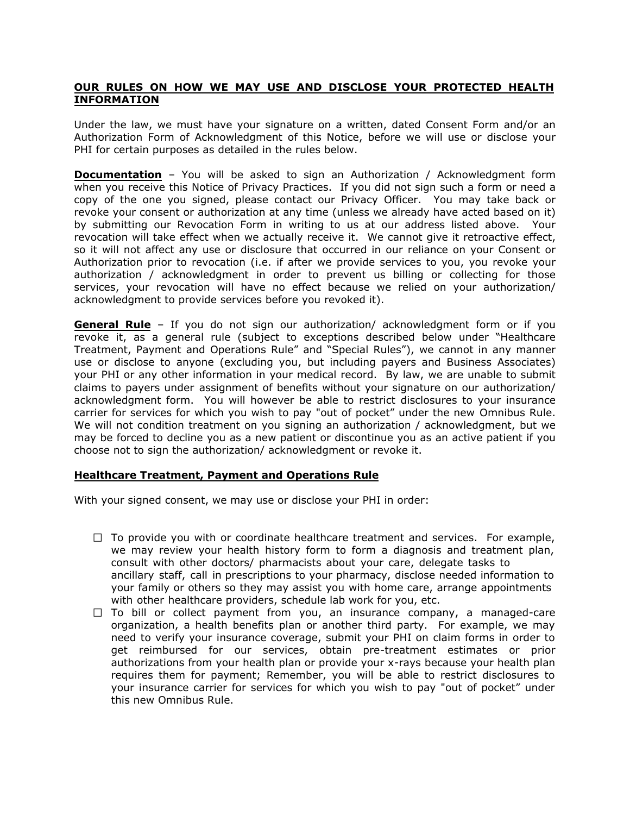#### **OUR RULES ON HOW WE MAY USE AND DISCLOSE YOUR PROTECTED HEALTH INFORMATION**

Under the law, we must have your signature on a written, dated Consent Form and/or an Authorization Form of Acknowledgment of this Notice, before we will use or disclose your PHI for certain purposes as detailed in the rules below.

**Documentation** – You will be asked to sign an Authorization / Acknowledgment form when you receive this Notice of Privacy Practices. If you did not sign such a form or need a copy of the one you signed, please contact our Privacy Officer. You may take back or revoke your consent or authorization at any time (unless we already have acted based on it) by submitting our Revocation Form in writing to us at our address listed above. Your revocation will take effect when we actually receive it. We cannot give it retroactive effect, so it will not affect any use or disclosure that occurred in our reliance on your Consent or Authorization prior to revocation (i.e. if after we provide services to you, you revoke your authorization / acknowledgment in order to prevent us billing or collecting for those services, your revocation will have no effect because we relied on your authorization/ acknowledgment to provide services before you revoked it).

**General Rule** – If you do not sign our authorization/ acknowledgment form or if you revoke it, as a general rule (subject to exceptions described below under "Healthcare Treatment, Payment and Operations Rule" and "Special Rules"), we cannot in any manner use or disclose to anyone (excluding you, but including payers and Business Associates) your PHI or any other information in your medical record. By law, we are unable to submit claims to payers under assignment of benefits without your signature on our authorization/ acknowledgment form. You will however be able to restrict disclosures to your insurance carrier for services for which you wish to pay "out of pocket" under the new Omnibus Rule. We will not condition treatment on you signing an authorization / acknowledgment, but we may be forced to decline you as a new patient or discontinue you as an active patient if you choose not to sign the authorization/ acknowledgment or revoke it.

# **Healthcare Treatment, Payment and Operations Rule**

With your signed consent, we may use or disclose your PHI in order:

- $\Box$  To provide you with or coordinate healthcare treatment and services. For example, we may review your health history form to form a diagnosis and treatment plan, consult with other doctors/ pharmacists about your care, delegate tasks to ancillary staff, call in prescriptions to your pharmacy, disclose needed information to your family or others so they may assist you with home care, arrange appointments with other healthcare providers, schedule lab work for you, etc.
- $\Box$  To bill or collect payment from you, an insurance company, a managed-care organization, a health benefits plan or another third party. For example, we may need to verify your insurance coverage, submit your PHI on claim forms in order to get reimbursed for our services, obtain pre-treatment estimates or prior authorizations from your health plan or provide your x-rays because your health plan requires them for payment; Remember, you will be able to restrict disclosures to your insurance carrier for services for which you wish to pay "out of pocket" under this new Omnibus Rule.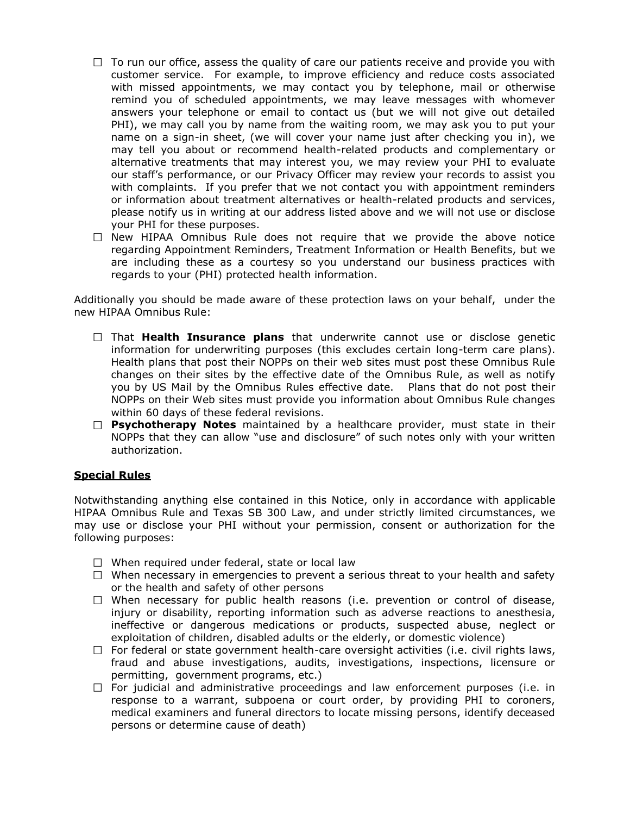- $\Box$  To run our office, assess the quality of care our patients receive and provide you with customer service. For example, to improve efficiency and reduce costs associated with missed appointments, we may contact you by telephone, mail or otherwise remind you of scheduled appointments, we may leave messages with whomever answers your telephone or email to contact us (but we will not give out detailed PHI), we may call you by name from the waiting room, we may ask you to put your name on a sign-in sheet, (we will cover your name just after checking you in), we may tell you about or recommend health-related products and complementary or alternative treatments that may interest you, we may review your PHI to evaluate our staff's performance, or our Privacy Officer may review your records to assist you with complaints. If you prefer that we not contact you with appointment reminders or information about treatment alternatives or health-related products and services, please notify us in writing at our address listed above and we will not use or disclose your PHI for these purposes.
- $\Box$  New HIPAA Omnibus Rule does not require that we provide the above notice regarding Appointment Reminders, Treatment Information or Health Benefits, but we are including these as a courtesy so you understand our business practices with regards to your (PHI) protected health information.

Additionally you should be made aware of these protection laws on your behalf, under the new HIPAA Omnibus Rule:

- $\Box$  That **Health Insurance plans** that underwrite cannot use or disclose genetic information for underwriting purposes (this excludes certain long-term care plans). Health plans that post their NOPPs on their web sites must post these Omnibus Rule changes on their sites by the effective date of the Omnibus Rule, as well as notify you by US Mail by the Omnibus Rules effective date. Plans that do not post their NOPPs on their Web sites must provide you information about Omnibus Rule changes within 60 days of these federal revisions.
- **Psychotherapy Notes** maintained by a healthcare provider, must state in their NOPPs that they can allow "use and disclosure" of such notes only with your written authorization.

#### **Special Rules**

Notwithstanding anything else contained in this Notice, only in accordance with applicable HIPAA Omnibus Rule and Texas SB 300 Law, and under strictly limited circumstances, we may use or disclose your PHI without your permission, consent or authorization for the following purposes:

- $\Box$  When required under federal, state or local law
- $\Box$  When necessary in emergencies to prevent a serious threat to your health and safety or the health and safety of other persons
- $\Box$  When necessary for public health reasons (i.e. prevention or control of disease, injury or disability, reporting information such as adverse reactions to anesthesia, ineffective or dangerous medications or products, suspected abuse, neglect or exploitation of children, disabled adults or the elderly, or domestic violence)
- $\Box$  For federal or state government health-care oversight activities (i.e. civil rights laws, fraud and abuse investigations, audits, investigations, inspections, licensure or permitting, government programs, etc.)
- $\Box$  For judicial and administrative proceedings and law enforcement purposes (i.e. in response to a warrant, subpoena or court order, by providing PHI to coroners, medical examiners and funeral directors to locate missing persons, identify deceased persons or determine cause of death)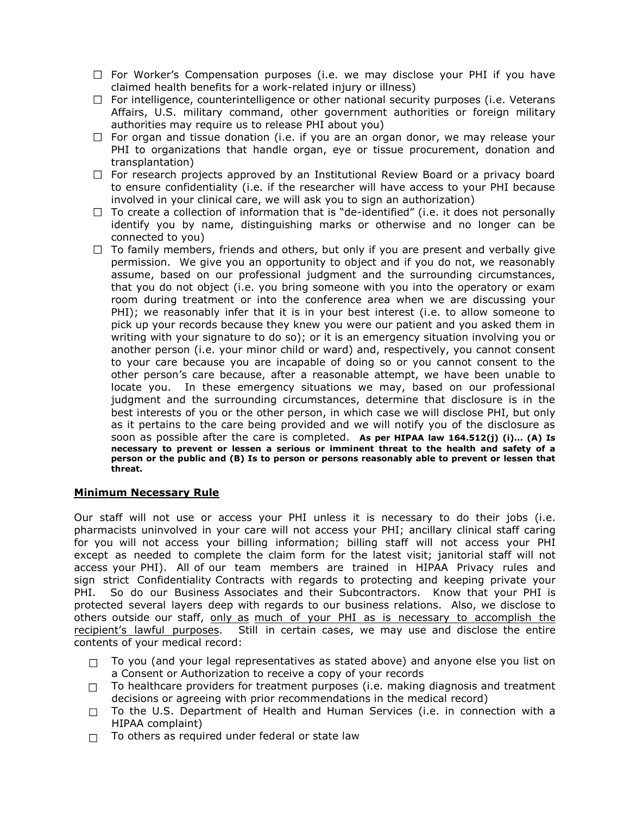- $\Box$  For Worker's Compensation purposes (i.e. we may disclose your PHI if you have claimed health benefits for a work-related injury or illness)
- $\Box$  For intelligence, counterintelligence or other national security purposes (i.e. Veterans Affairs, U.S. military command, other government authorities or foreign military authorities may require us to release PHI about you)
- $\Box$  For organ and tissue donation (i.e. if you are an organ donor, we may release your PHI to organizations that handle organ, eye or tissue procurement, donation and transplantation)
- $\Box$  For research projects approved by an Institutional Review Board or a privacy board to ensure confidentiality (i.e. if the researcher will have access to your PHI because involved in your clinical care, we will ask you to sign an authorization)
- $\Box$  To create a collection of information that is "de-identified" (i.e. it does not personally identify you by name, distinguishing marks or otherwise and no longer can be connected to you)
- $\Box$  To family members, friends and others, but only if you are present and verbally give permission. We give you an opportunity to object and if you do not, we reasonably assume, based on our professional judgment and the surrounding circumstances, that you do not object (i.e. you bring someone with you into the operatory or exam room during treatment or into the conference area when we are discussing your PHI); we reasonably infer that it is in your best interest (i.e. to allow someone to pick up your records because they knew you were our patient and you asked them in writing with your signature to do so); or it is an emergency situation involving you or another person (i.e. your minor child or ward) and, respectively, you cannot consent to your care because you are incapable of doing so or you cannot consent to the other person's care because, after a reasonable attempt, we have been unable to locate you. In these emergency situations we may, based on our professional judgment and the surrounding circumstances, determine that disclosure is in the best interests of you or the other person, in which case we will disclose PHI, but only as it pertains to the care being provided and we will notify you of the disclosure as soon as possible after the care is completed. **As per HIPAA law 164.512(j) (i)… (A) Is necessary to prevent or lessen a serious or imminent threat to the health and safety of a person or the public and (B) Is to person or persons reasonably able to prevent or lessen that threat.**

# **Minimum Necessary Rule**

Our staff will not use or access your PHI unless it is necessary to do their jobs (i.e. pharmacists uninvolved in your care will not access your PHI; ancillary clinical staff caring for you will not access your billing information; billing staff will not access your PHI except as needed to complete the claim form for the latest visit; janitorial staff will not access your PHI). All of our team members are trained in HIPAA Privacy rules and sign strict Confidentiality Contracts with regards to protecting and keeping private your PHI. So do our Business Associates and their Subcontractors. Know that your PHI is protected several layers deep with regards to our business relations. Also, we disclose to others outside our staff, only as much of your PHI as is necessary to accomplish the recipient's lawful purposes. Still in certain cases, we may use and disclose the entire contents of your medical record:

- To you (and your legal representatives as stated above) and anyone else you list on  $\Box$ a Consent or Authorization to receive a copy of your records
- To healthcare providers for treatment purposes (i.e. making diagnosis and treatment  $\Box$ decisions or agreeing with prior recommendations in the medical record)
- To the U.S. Department of Health and Human Services (i.e. in connection with a  $\Box$ HIPAA complaint)
- To others as required under federal or state law  $\Box$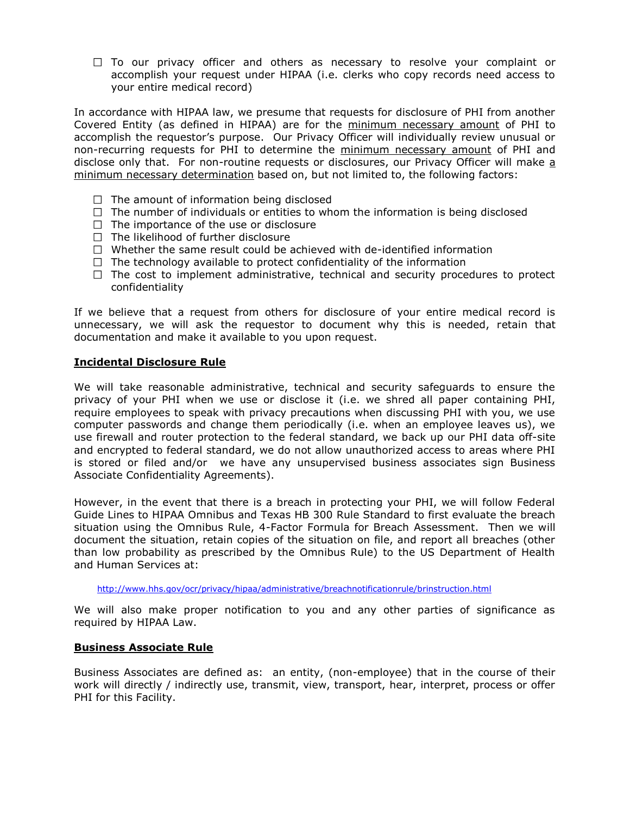$\Box$  To our privacy officer and others as necessary to resolve your complaint or accomplish your request under HIPAA (i.e. clerks who copy records need access to your entire medical record)

In accordance with HIPAA law, we presume that requests for disclosure of PHI from another Covered Entity (as defined in HIPAA) are for the minimum necessary amount of PHI to accomplish the requestor's purpose. Our Privacy Officer will individually review unusual or non-recurring requests for PHI to determine the minimum necessary amount of PHI and disclose only that. For non-routine requests or disclosures, our Privacy Officer will make a minimum necessary determination based on, but not limited to, the following factors:

- $\Box$  The amount of information being disclosed
- $\Box$  The number of individuals or entities to whom the information is being disclosed
- $\Box$  The importance of the use or disclosure
- $\Box$  The likelihood of further disclosure
- $\Box$  Whether the same result could be achieved with de-identified information
- $\Box$  The technology available to protect confidentiality of the information
- $\Box$  The cost to implement administrative, technical and security procedures to protect confidentiality

If we believe that a request from others for disclosure of your entire medical record is unnecessary, we will ask the requestor to document why this is needed, retain that documentation and make it available to you upon request.

#### **Incidental Disclosure Rule**

We will take reasonable administrative, technical and security safeguards to ensure the privacy of your PHI when we use or disclose it (i.e. we shred all paper containing PHI, require employees to speak with privacy precautions when discussing PHI with you, we use computer passwords and change them periodically (i.e. when an employee leaves us), we use firewall and router protection to the federal standard, we back up our PHI data off-site and encrypted to federal standard, we do not allow unauthorized access to areas where PHI is stored or filed and/or we have any unsupervised business associates sign Business Associate Confidentiality Agreements).

However, in the event that there is a breach in protecting your PHI, we will follow Federal Guide Lines to HIPAA Omnibus and Texas HB 300 Rule Standard to first evaluate the breach situation using the Omnibus Rule, 4-Factor Formula for Breach Assessment. Then we will document the situation, retain copies of the situation on file, and report all breaches (other than low probability as prescribed by the Omnibus Rule) to the US Department of Health and Human Services at:

<http://www.hhs.gov/ocr/privacy/hipaa/administrative/breachnotificationrule/brinstruction.html>

We will also make proper notification to you and any other parties of significance as required by HIPAA Law.

#### **Business Associate Rule**

Business Associates are defined as: an entity, (non-employee) that in the course of their work will directly / indirectly use, transmit, view, transport, hear, interpret, process or offer PHI for this Facility.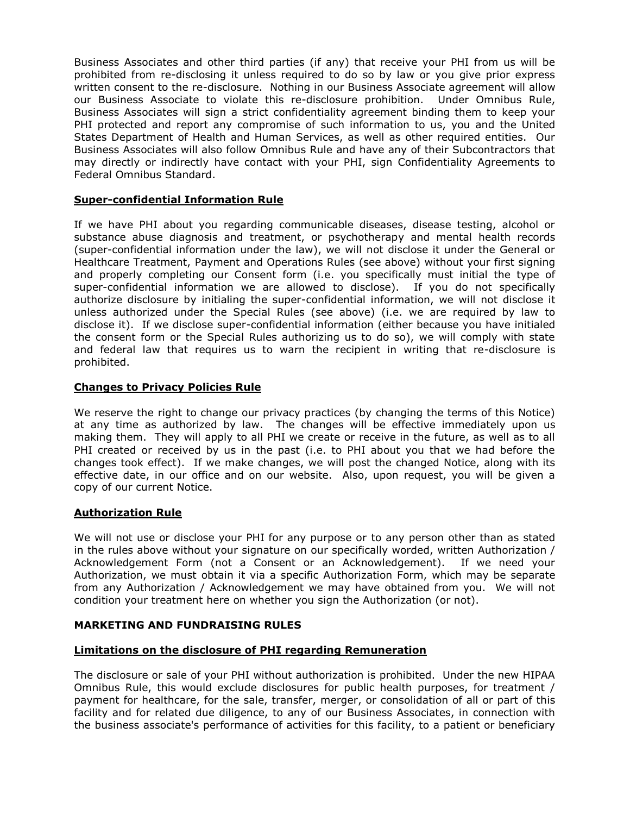Business Associates and other third parties (if any) that receive your PHI from us will be prohibited from re-disclosing it unless required to do so by law or you give prior express written consent to the re-disclosure. Nothing in our Business Associate agreement will allow our Business Associate to violate this re-disclosure prohibition. Under Omnibus Rule, Business Associates will sign a strict confidentiality agreement binding them to keep your PHI protected and report any compromise of such information to us, you and the United States Department of Health and Human Services, as well as other required entities. Our Business Associates will also follow Omnibus Rule and have any of their Subcontractors that may directly or indirectly have contact with your PHI, sign Confidentiality Agreements to Federal Omnibus Standard.

# **Super-confidential Information Rule**

If we have PHI about you regarding communicable diseases, disease testing, alcohol or substance abuse diagnosis and treatment, or psychotherapy and mental health records (super-confidential information under the law), we will not disclose it under the General or Healthcare Treatment, Payment and Operations Rules (see above) without your first signing and properly completing our Consent form (i.e. you specifically must initial the type of super-confidential information we are allowed to disclose). If you do not specifically authorize disclosure by initialing the super-confidential information, we will not disclose it unless authorized under the Special Rules (see above) (i.e. we are required by law to disclose it). If we disclose super-confidential information (either because you have initialed the consent form or the Special Rules authorizing us to do so), we will comply with state and federal law that requires us to warn the recipient in writing that re-disclosure is prohibited.

# **Changes to Privacy Policies Rule**

We reserve the right to change our privacy practices (by changing the terms of this Notice) at any time as authorized by law. The changes will be effective immediately upon us making them. They will apply to all PHI we create or receive in the future, as well as to all PHI created or received by us in the past (i.e. to PHI about you that we had before the changes took effect). If we make changes, we will post the changed Notice, along with its effective date, in our office and on our website. Also, upon request, you will be given a copy of our current Notice.

# **Authorization Rule**

We will not use or disclose your PHI for any purpose or to any person other than as stated in the rules above without your signature on our specifically worded, written Authorization / Acknowledgement Form (not a Consent or an Acknowledgement). If we need your Authorization, we must obtain it via a specific Authorization Form, which may be separate from any Authorization / Acknowledgement we may have obtained from you. We will not condition your treatment here on whether you sign the Authorization (or not).

# **MARKETING AND FUNDRAISING RULES**

#### **Limitations on the disclosure of PHI regarding Remuneration**

The disclosure or sale of your PHI without authorization is prohibited. Under the new HIPAA Omnibus Rule, this would exclude disclosures for public health purposes, for treatment / payment for healthcare, for the sale, transfer, merger, or consolidation of all or part of this facility and for related due diligence, to any of our Business Associates, in connection with the business associate's performance of activities for this facility, to a patient or beneficiary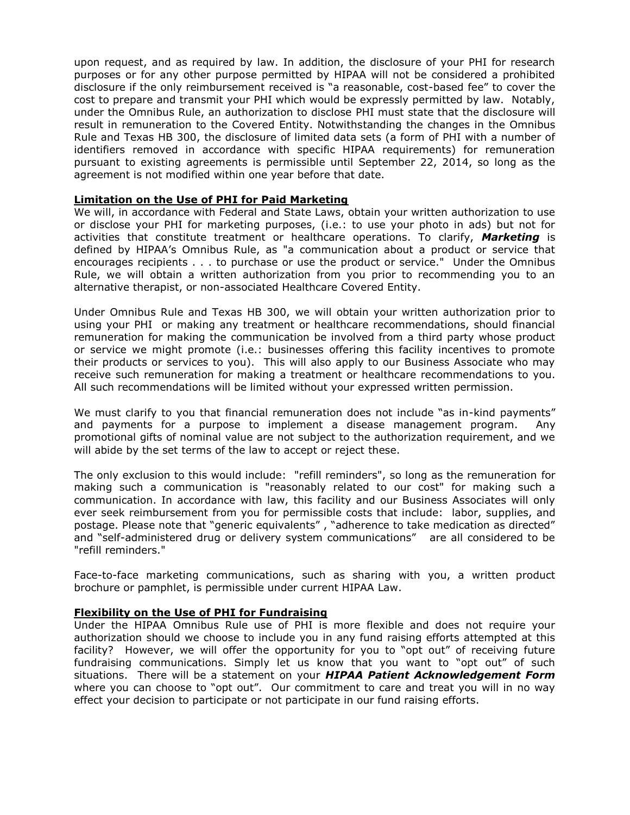upon request, and as required by law. In addition, the disclosure of your PHI for research purposes or for any other purpose permitted by HIPAA will not be considered a prohibited disclosure if the only reimbursement received is "a reasonable, cost-based fee" to cover the cost to prepare and transmit your PHI which would be expressly permitted by law. Notably, under the Omnibus Rule, an authorization to disclose PHI must state that the disclosure will result in remuneration to the Covered Entity. Notwithstanding the changes in the Omnibus Rule and Texas HB 300, the disclosure of limited data sets (a form of PHI with a number of identifiers removed in accordance with specific HIPAA requirements) for remuneration pursuant to existing agreements is permissible until September 22, 2014, so long as the agreement is not modified within one year before that date.

#### **Limitation on the Use of PHI for Paid Marketing**

We will, in accordance with Federal and State Laws, obtain your written authorization to use or disclose your PHI for marketing purposes, (i.e.: to use your photo in ads) but not for activities that constitute treatment or healthcare operations. To clarify, *Marketing* is defined by HIPAA's Omnibus Rule, as "a communication about a product or service that encourages recipients . . . to purchase or use the product or service." Under the Omnibus Rule, we will obtain a written authorization from you prior to recommending you to an alternative therapist, or non-associated Healthcare Covered Entity.

Under Omnibus Rule and Texas HB 300, we will obtain your written authorization prior to using your PHI or making any treatment or healthcare recommendations, should financial remuneration for making the communication be involved from a third party whose product or service we might promote (i.e.: businesses offering this facility incentives to promote their products or services to you). This will also apply to our Business Associate who may receive such remuneration for making a treatment or healthcare recommendations to you. All such recommendations will be limited without your expressed written permission.

We must clarify to you that financial remuneration does not include "as in-kind payments" and payments for a purpose to implement a disease management program. Any promotional gifts of nominal value are not subject to the authorization requirement, and we will abide by the set terms of the law to accept or reject these.

The only exclusion to this would include: "refill reminders", so long as the remuneration for making such a communication is "reasonably related to our cost" for making such a communication. In accordance with law, this facility and our Business Associates will only ever seek reimbursement from you for permissible costs that include: labor, supplies, and postage. Please note that "generic equivalents" , "adherence to take medication as directed" and "self-administered drug or delivery system communications" are all considered to be "refill reminders."

Face-to-face marketing communications, such as sharing with you, a written product brochure or pamphlet, is permissible under current HIPAA Law.

#### **Flexibility on the Use of PHI for Fundraising**

Under the HIPAA Omnibus Rule use of PHI is more flexible and does not require your authorization should we choose to include you in any fund raising efforts attempted at this facility? However, we will offer the opportunity for you to "opt out" of receiving future fundraising communications. Simply let us know that you want to "opt out" of such situations. There will be a statement on your *HIPAA Patient Acknowledgement Form* where you can choose to "opt out". Our commitment to care and treat you will in no way effect your decision to participate or not participate in our fund raising efforts.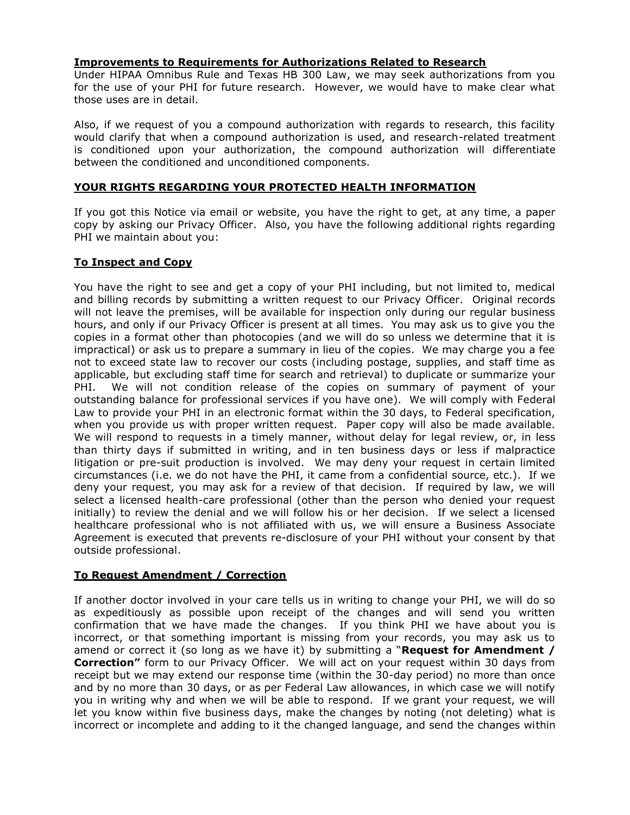# **Improvements to Requirements for Authorizations Related to Research**

Under HIPAA Omnibus Rule and Texas HB 300 Law, we may seek authorizations from you for the use of your PHI for future research. However, we would have to make clear what those uses are in detail.

Also, if we request of you a compound authorization with regards to research, this facility would clarify that when a compound authorization is used, and research-related treatment is conditioned upon your authorization, the compound authorization will differentiate between the conditioned and unconditioned components.

# **YOUR RIGHTS REGARDING YOUR PROTECTED HEALTH INFORMATION**

If you got this Notice via email or website, you have the right to get, at any time, a paper copy by asking our Privacy Officer. Also, you have the following additional rights regarding PHI we maintain about you:

#### **To Inspect and Copy**

You have the right to see and get a copy of your PHI including, but not limited to, medical and billing records by submitting a written request to our Privacy Officer. Original records will not leave the premises, will be available for inspection only during our regular business hours, and only if our Privacy Officer is present at all times. You may ask us to give you the copies in a format other than photocopies (and we will do so unless we determine that it is impractical) or ask us to prepare a summary in lieu of the copies. We may charge you a fee not to exceed state law to recover our costs (including postage, supplies, and staff time as applicable, but excluding staff time for search and retrieval) to duplicate or summarize your PHI. We will not condition release of the copies on summary of payment of your outstanding balance for professional services if you have one). We will comply with Federal Law to provide your PHI in an electronic format within the 30 days, to Federal specification, when you provide us with proper written request. Paper copy will also be made available. We will respond to requests in a timely manner, without delay for legal review, or, in less than thirty days if submitted in writing, and in ten business days or less if malpractice litigation or pre-suit production is involved. We may deny your request in certain limited circumstances (i.e. we do not have the PHI, it came from a confidential source, etc.). If we deny your request, you may ask for a review of that decision. If required by law, we will select a licensed health-care professional (other than the person who denied your request initially) to review the denial and we will follow his or her decision. If we select a licensed healthcare professional who is not affiliated with us, we will ensure a Business Associate Agreement is executed that prevents re-disclosure of your PHI without your consent by that outside professional.

# **To Request Amendment / Correction**

If another doctor involved in your care tells us in writing to change your PHI, we will do so as expeditiously as possible upon receipt of the changes and will send you written confirmation that we have made the changes. If you think PHI we have about you is incorrect, or that something important is missing from your records, you may ask us to amend or correct it (so long as we have it) by submitting a "**Request for Amendment / Correction"** form to our Privacy Officer. We will act on your request within 30 days from receipt but we may extend our response time (within the 30-day period) no more than once and by no more than 30 days, or as per Federal Law allowances, in which case we will notify you in writing why and when we will be able to respond. If we grant your request, we will let you know within five business days, make the changes by noting (not deleting) what is incorrect or incomplete and adding to it the changed language, and send the changes within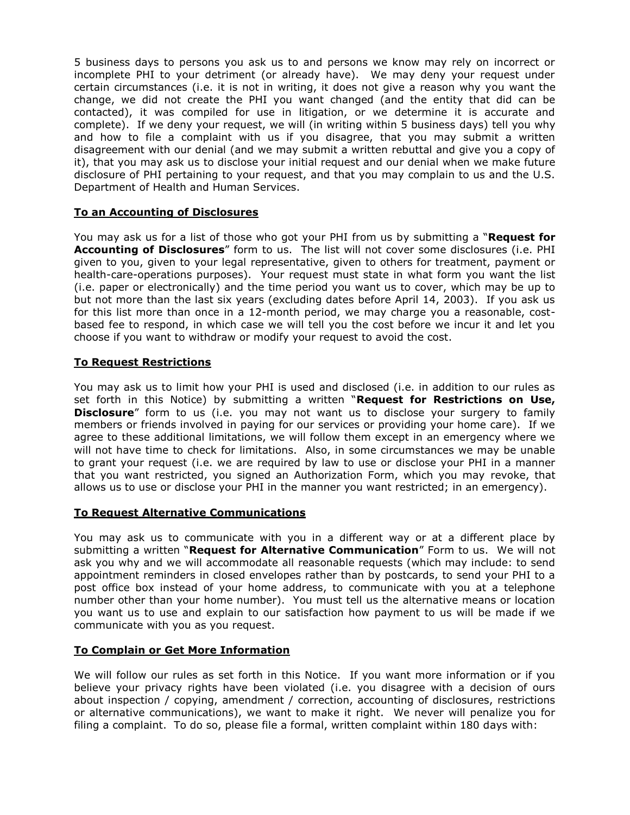5 business days to persons you ask us to and persons we know may rely on incorrect or incomplete PHI to your detriment (or already have). We may deny your request under certain circumstances (i.e. it is not in writing, it does not give a reason why you want the change, we did not create the PHI you want changed (and the entity that did can be contacted), it was compiled for use in litigation, or we determine it is accurate and complete). If we deny your request, we will (in writing within 5 business days) tell you why and how to file a complaint with us if you disagree, that you may submit a written disagreement with our denial (and we may submit a written rebuttal and give you a copy of it), that you may ask us to disclose your initial request and our denial when we make future disclosure of PHI pertaining to your request, and that you may complain to us and the U.S. Department of Health and Human Services.

# **To an Accounting of Disclosures**

You may ask us for a list of those who got your PHI from us by submitting a "**Request for Accounting of Disclosures**" form to us. The list will not cover some disclosures (i.e. PHI given to you, given to your legal representative, given to others for treatment, payment or health-care-operations purposes). Your request must state in what form you want the list (i.e. paper or electronically) and the time period you want us to cover, which may be up to but not more than the last six years (excluding dates before April 14, 2003). If you ask us for this list more than once in a 12-month period, we may charge you a reasonable, costbased fee to respond, in which case we will tell you the cost before we incur it and let you choose if you want to withdraw or modify your request to avoid the cost.

# **To Request Restrictions**

You may ask us to limit how your PHI is used and disclosed (i.e. in addition to our rules as set forth in this Notice) by submitting a written "**Request for Restrictions on Use, Disclosure**" form to us (i.e. you may not want us to disclose your surgery to family members or friends involved in paying for our services or providing your home care). If we agree to these additional limitations, we will follow them except in an emergency where we will not have time to check for limitations. Also, in some circumstances we may be unable to grant your request (i.e. we are required by law to use or disclose your PHI in a manner that you want restricted, you signed an Authorization Form, which you may revoke, that allows us to use or disclose your PHI in the manner you want restricted; in an emergency).

#### **To Request Alternative Communications**

You may ask us to communicate with you in a different way or at a different place by submitting a written "**Request for Alternative Communication**" Form to us. We will not ask you why and we will accommodate all reasonable requests (which may include: to send appointment reminders in closed envelopes rather than by postcards, to send your PHI to a post office box instead of your home address, to communicate with you at a telephone number other than your home number). You must tell us the alternative means or location you want us to use and explain to our satisfaction how payment to us will be made if we communicate with you as you request.

#### **To Complain or Get More Information**

We will follow our rules as set forth in this Notice. If you want more information or if you believe your privacy rights have been violated (i.e. you disagree with a decision of ours about inspection / copying, amendment / correction, accounting of disclosures, restrictions or alternative communications), we want to make it right. We never will penalize you for filing a complaint. To do so, please file a formal, written complaint within 180 days with: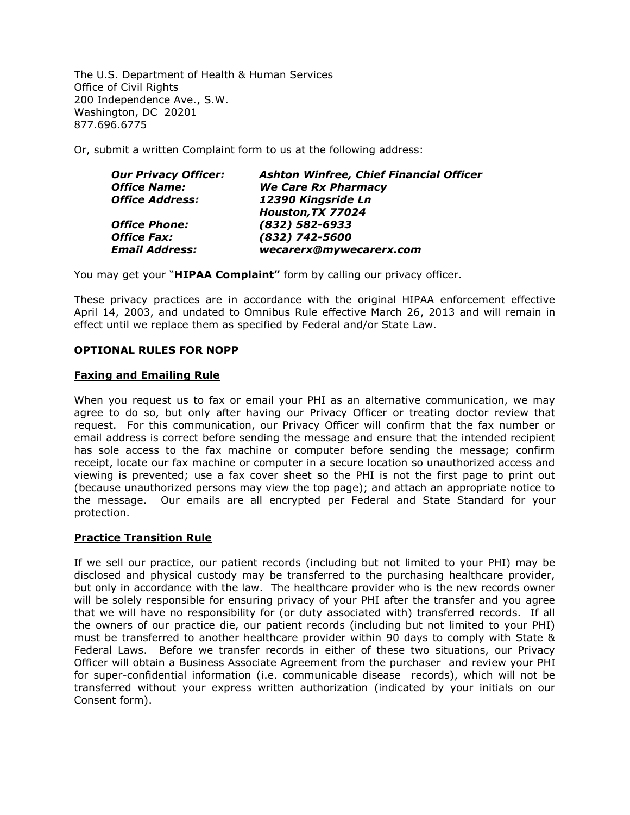The U.S. Department of Health & Human Services Office of Civil Rights 200 Independence Ave., S.W. Washington, DC 20201 877.696.6775

Or, submit a written Complaint form to us at the following address:

| <b>Our Privacy Officer:</b> | <b>Ashton Winfree, Chief Financial Officer</b> |
|-----------------------------|------------------------------------------------|
| <b>Office Name:</b>         | <b>We Care Rx Pharmacy</b>                     |
| <b>Office Address:</b>      | 12390 Kingsride Ln                             |
|                             | Houston, TX 77024                              |
| <b>Office Phone:</b>        | $(832) 582 - 6933$                             |
| <b>Office Fax:</b>          | (832) 742-5600                                 |
| <b>Email Address:</b>       | wecarerx@mywecarerx.com                        |
|                             |                                                |

You may get your "**HIPAA Complaint"** form by calling our privacy officer.

These privacy practices are in accordance with the original HIPAA enforcement effective April 14, 2003, and undated to Omnibus Rule effective March 26, 2013 and will remain in effect until we replace them as specified by Federal and/or State Law.

#### **OPTIONAL RULES FOR NOPP**

#### **Faxing and Emailing Rule**

When you request us to fax or email your PHI as an alternative communication, we may agree to do so, but only after having our Privacy Officer or treating doctor review that request. For this communication, our Privacy Officer will confirm that the fax number or email address is correct before sending the message and ensure that the intended recipient has sole access to the fax machine or computer before sending the message; confirm receipt, locate our fax machine or computer in a secure location so unauthorized access and viewing is prevented; use a fax cover sheet so the PHI is not the first page to print out (because unauthorized persons may view the top page); and attach an appropriate notice to the message. Our emails are all encrypted per Federal and State Standard for your protection.

#### **Practice Transition Rule**

If we sell our practice, our patient records (including but not limited to your PHI) may be disclosed and physical custody may be transferred to the purchasing healthcare provider, but only in accordance with the law. The healthcare provider who is the new records owner will be solely responsible for ensuring privacy of your PHI after the transfer and you agree that we will have no responsibility for (or duty associated with) transferred records. If all the owners of our practice die, our patient records (including but not limited to your PHI) must be transferred to another healthcare provider within 90 days to comply with State & Federal Laws. Before we transfer records in either of these two situations, our Privacy Officer will obtain a Business Associate Agreement from the purchaser and review your PHI for super-confidential information (i.e. communicable disease records), which will not be transferred without your express written authorization (indicated by your initials on our Consent form).